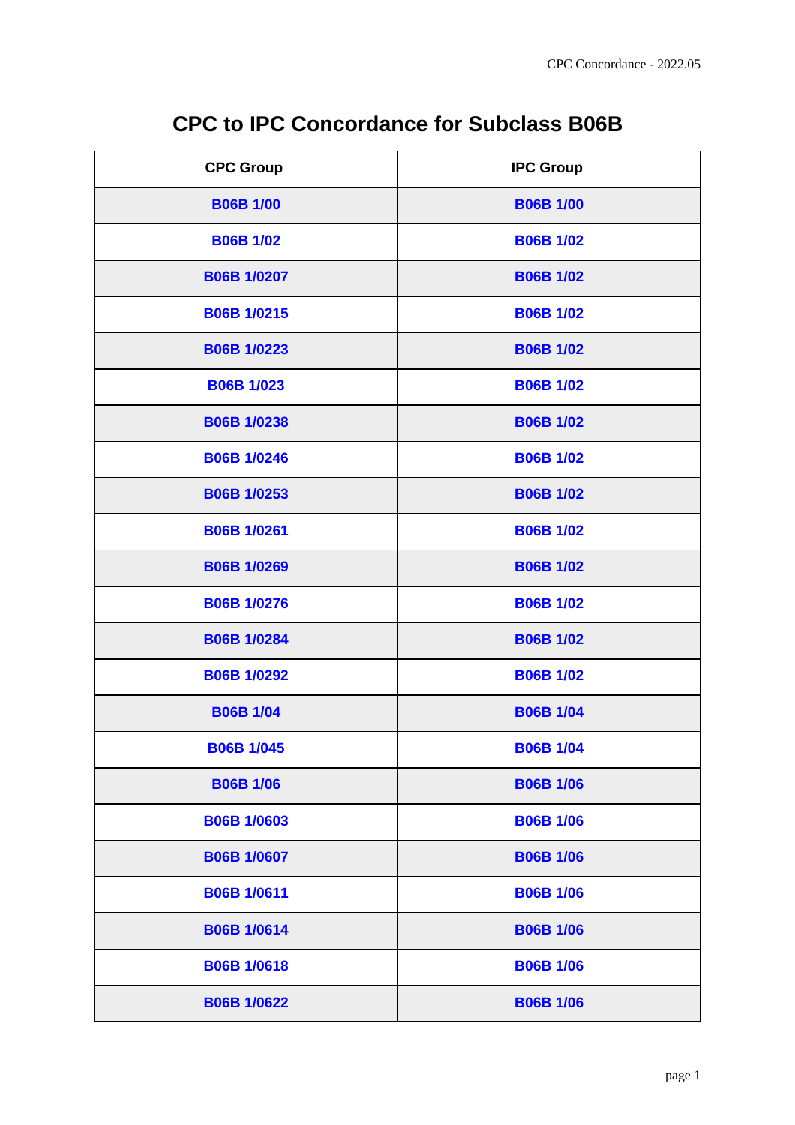|  | <b>CPC to IPC Concordance for Subclass B06B</b> |  |
|--|-------------------------------------------------|--|
|--|-------------------------------------------------|--|

| <b>CPC Group</b>   | <b>IPC Group</b> |
|--------------------|------------------|
| <b>B06B 1/00</b>   | <b>B06B 1/00</b> |
| <b>B06B 1/02</b>   | <b>B06B 1/02</b> |
| <b>B06B 1/0207</b> | <b>B06B 1/02</b> |
| <b>B06B 1/0215</b> | <b>B06B 1/02</b> |
| <b>B06B 1/0223</b> | <b>B06B 1/02</b> |
| <b>B06B 1/023</b>  | <b>B06B 1/02</b> |
| <b>B06B 1/0238</b> | <b>B06B 1/02</b> |
| <b>B06B 1/0246</b> | <b>B06B 1/02</b> |
| <b>B06B 1/0253</b> | <b>B06B 1/02</b> |
| <b>B06B 1/0261</b> | <b>B06B 1/02</b> |
| <b>B06B 1/0269</b> | <b>B06B 1/02</b> |
| <b>B06B 1/0276</b> | <b>B06B 1/02</b> |
| <b>B06B 1/0284</b> | <b>B06B 1/02</b> |
| <b>B06B 1/0292</b> | <b>B06B 1/02</b> |
| <b>B06B 1/04</b>   | <b>B06B 1/04</b> |
| <b>B06B 1/045</b>  | <b>B06B 1/04</b> |
| <b>B06B 1/06</b>   | <b>B06B 1/06</b> |
| <b>B06B 1/0603</b> | <b>B06B 1/06</b> |
| <b>B06B 1/0607</b> | <b>B06B 1/06</b> |
| <b>B06B 1/0611</b> | <b>B06B 1/06</b> |
| <b>B06B 1/0614</b> | <b>B06B 1/06</b> |
| <b>B06B 1/0618</b> | <b>B06B 1/06</b> |
| <b>B06B 1/0622</b> | <b>B06B 1/06</b> |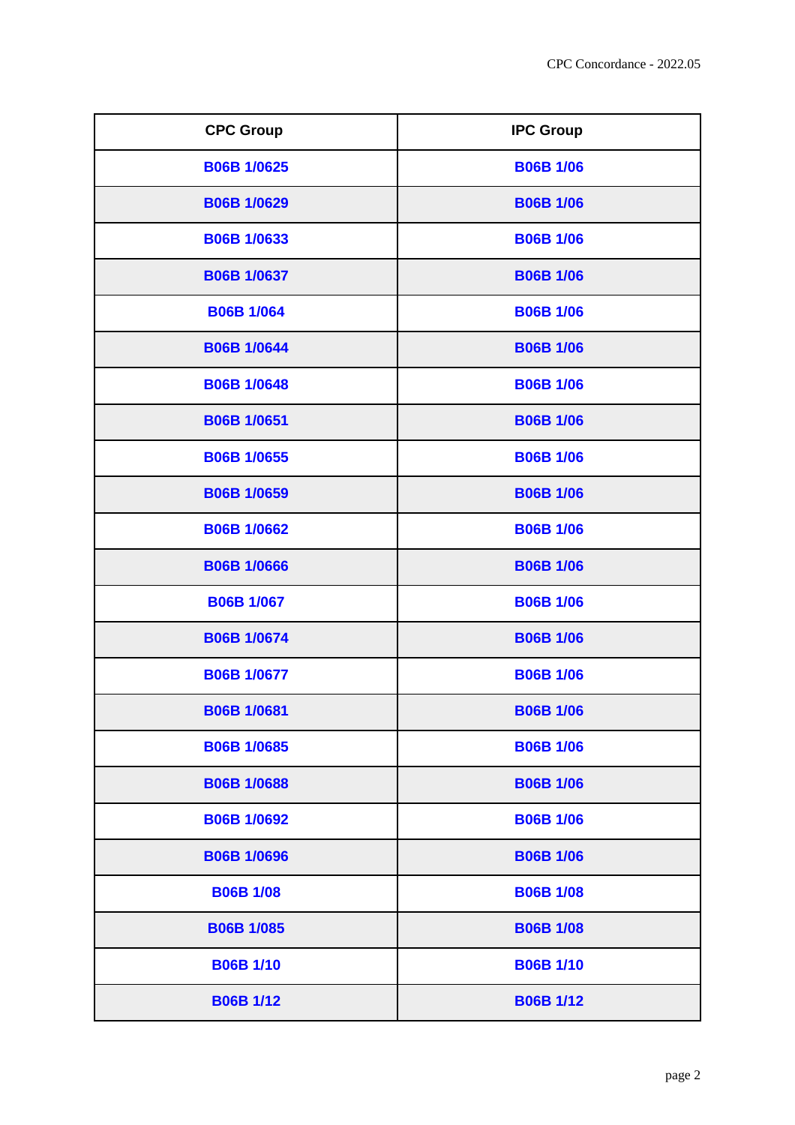| <b>CPC Group</b>   | <b>IPC Group</b> |
|--------------------|------------------|
| <b>B06B 1/0625</b> | <b>B06B 1/06</b> |
| <b>B06B 1/0629</b> | <b>B06B 1/06</b> |
| <b>B06B 1/0633</b> | <b>B06B 1/06</b> |
| <b>B06B 1/0637</b> | <b>B06B 1/06</b> |
| <b>B06B 1/064</b>  | <b>B06B 1/06</b> |
| <b>B06B 1/0644</b> | <b>B06B 1/06</b> |
| <b>B06B 1/0648</b> | <b>B06B 1/06</b> |
| <b>B06B 1/0651</b> | <b>B06B 1/06</b> |
| <b>B06B 1/0655</b> | <b>B06B 1/06</b> |
| <b>B06B 1/0659</b> | <b>B06B 1/06</b> |
| <b>B06B 1/0662</b> | <b>B06B 1/06</b> |
| <b>B06B 1/0666</b> | <b>B06B 1/06</b> |
| <b>B06B 1/067</b>  | <b>B06B 1/06</b> |
| <b>B06B 1/0674</b> | <b>B06B 1/06</b> |
| <b>B06B 1/0677</b> | <b>B06B 1/06</b> |
| <b>B06B 1/0681</b> | <b>B06B 1/06</b> |
| <b>B06B 1/0685</b> | <b>B06B 1/06</b> |
| <b>B06B 1/0688</b> | <b>B06B 1/06</b> |
| <b>B06B 1/0692</b> | <b>B06B 1/06</b> |
| <b>B06B 1/0696</b> | <b>B06B 1/06</b> |
| <b>B06B 1/08</b>   | <b>B06B 1/08</b> |
| <b>B06B 1/085</b>  | <b>B06B 1/08</b> |
| <b>B06B 1/10</b>   | <b>B06B 1/10</b> |
| <b>B06B 1/12</b>   | <b>B06B 1/12</b> |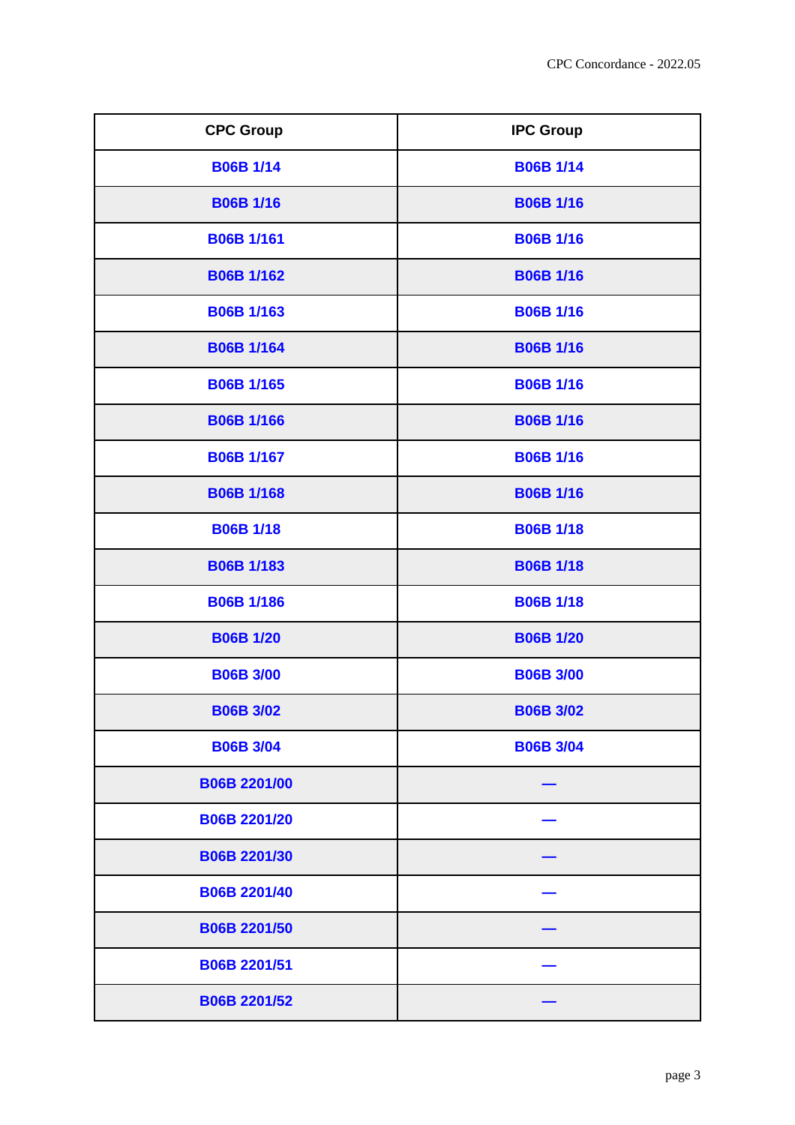| <b>CPC Group</b>    | <b>IPC Group</b> |
|---------------------|------------------|
| <b>B06B 1/14</b>    | <b>B06B 1/14</b> |
| <b>B06B 1/16</b>    | <b>B06B 1/16</b> |
| <b>B06B 1/161</b>   | <b>B06B 1/16</b> |
| <b>B06B 1/162</b>   | <b>B06B 1/16</b> |
| <b>B06B 1/163</b>   | <b>B06B 1/16</b> |
| <b>B06B 1/164</b>   | <b>B06B 1/16</b> |
| <b>B06B 1/165</b>   | <b>B06B 1/16</b> |
| <b>B06B 1/166</b>   | <b>B06B 1/16</b> |
| <b>B06B 1/167</b>   | <b>B06B 1/16</b> |
| <b>B06B 1/168</b>   | <b>B06B 1/16</b> |
| <b>B06B 1/18</b>    | <b>B06B 1/18</b> |
| <b>B06B 1/183</b>   | <b>B06B 1/18</b> |
| <b>B06B 1/186</b>   | <b>B06B 1/18</b> |
| <b>B06B 1/20</b>    | <b>B06B 1/20</b> |
| <b>B06B 3/00</b>    | <b>B06B 3/00</b> |
| <b>B06B 3/02</b>    | <b>B06B 3/02</b> |
| <b>B06B 3/04</b>    | <b>B06B 3/04</b> |
| <b>B06B 2201/00</b> |                  |
| <b>B06B 2201/20</b> |                  |
| B06B 2201/30        |                  |
| <b>B06B 2201/40</b> |                  |
| <b>B06B 2201/50</b> |                  |
| <b>B06B 2201/51</b> |                  |
| <b>B06B 2201/52</b> |                  |